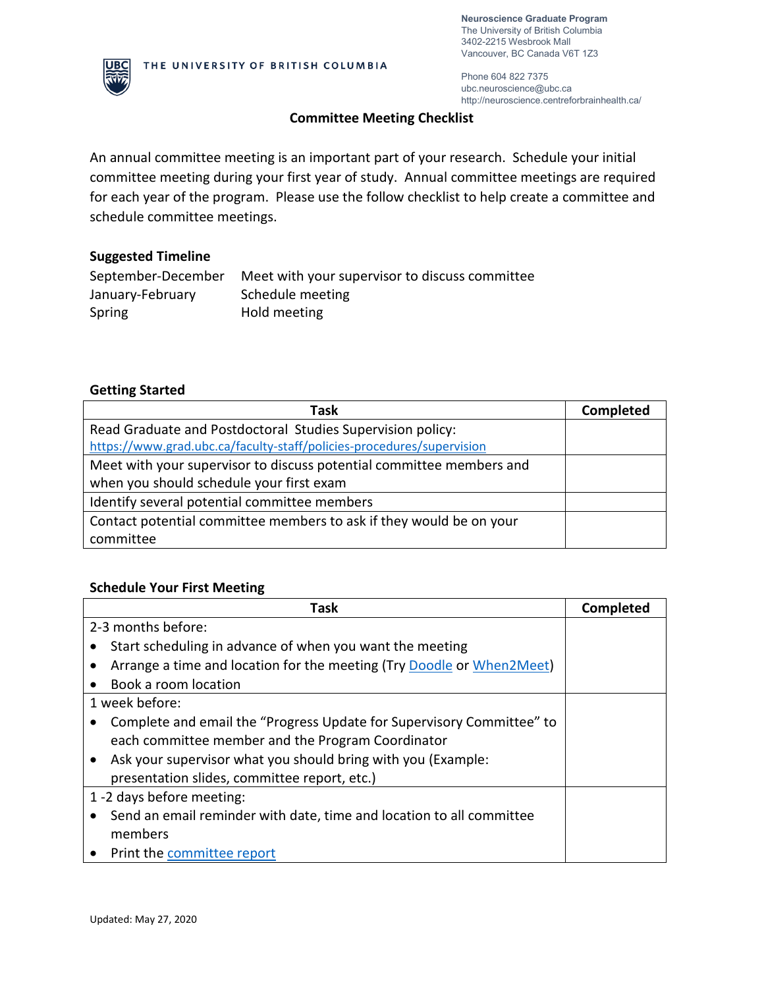**Neuroscience Graduate Program** The University of British Columbia 3402-2215 Wesbrook Mall Vancouver, BC Canada V6T 1Z3



Phone 604 822 7375 ubc.neuroscience@ubc.ca http://neuroscience.centreforbrainhealth.ca/

# **Committee Meeting Checklist**

An annual committee meeting is an important part of your research. Schedule your initial committee meeting during your first year of study. Annual committee meetings are required for each year of the program. Please use the follow checklist to help create a committee and schedule committee meetings.

## **Suggested Timeline**

| September-December | Meet with your supervisor to discuss committee |
|--------------------|------------------------------------------------|
| January-February   | Schedule meeting                               |
| Spring             | Hold meeting                                   |

# **Getting Started**

| Task                                                                  | <b>Completed</b> |
|-----------------------------------------------------------------------|------------------|
| Read Graduate and Postdoctoral Studies Supervision policy:            |                  |
| https://www.grad.ubc.ca/faculty-staff/policies-procedures/supervision |                  |
| Meet with your supervisor to discuss potential committee members and  |                  |
| when you should schedule your first exam                              |                  |
| Identify several potential committee members                          |                  |
| Contact potential committee members to ask if they would be on your   |                  |
| committee                                                             |                  |

#### **Schedule Your First Meeting**

| Task                                                                  | Completed |
|-----------------------------------------------------------------------|-----------|
| 2-3 months before:                                                    |           |
| Start scheduling in advance of when you want the meeting              |           |
| Arrange a time and location for the meeting (Try Doodle or When2Meet) |           |
| Book a room location                                                  |           |
| 1 week before:                                                        |           |
| Complete and email the "Progress Update for Supervisory Committee" to |           |
| each committee member and the Program Coordinator                     |           |
| Ask your supervisor what you should bring with you (Example:          |           |
| presentation slides, committee report, etc.)                          |           |
| 1 -2 days before meeting:                                             |           |
| Send an email reminder with date, time and location to all committee  |           |
| members                                                               |           |
| <b>Print the committee report</b>                                     |           |